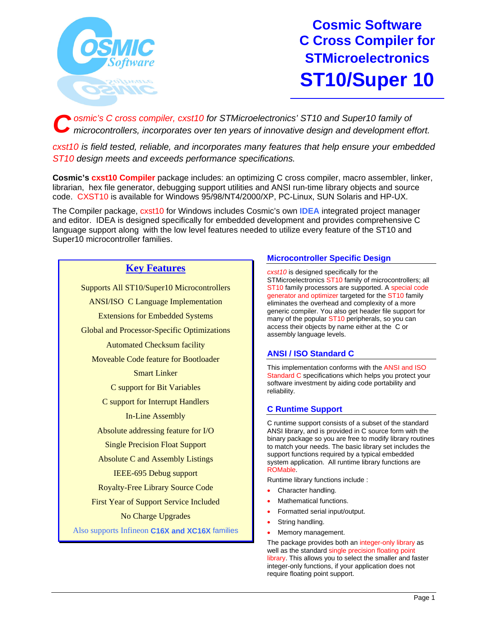

**Cosmic Software C Cross Compiler for STMicroelectronics ST10/Super 10**

*osmic's C cross compiler, cxst10 for STMicroelectronics' ST10 and Super10 family of microcontrollers, incorporates over ten years of innovative design and development effort. C*

*cxst10 is field tested, reliable, and incorporates many features that help ensure your embedded ST10 design meets and exceeds performance specifications.*

**Cosmic's cxst10 Compiler** package includes: an optimizing C cross compiler, macro assembler, linker, librarian, hex file generator, debugging support utilities and ANSI run-time library objects and source code. CXST10 is available for Windows 95/98/NT4/2000/XP, PC-Linux, SUN Solaris and HP-UX.

The Compiler package, cxst10 for Windows includes Cosmic's own **IDEA** integrated project manager and editor. IDEA is designed specifically for embedded development and provides comprehensive C language support along with the low level features needed to utilize every feature of the ST10 and Super10 microcontroller families.

# **Key Features**

Supports All ST10/Super10 Microcontrollers ANSI/ISO C Language Implementation Extensions for Embedded Systems Global and Processor-Specific Optimizations Automated Checksum facility Moveable Code feature for Bootloader Smart Linker C support for Bit Variables C support for Interrupt Handlers In-Line Assembly Absolute addressing feature for I/O Single Precision Float Support Absolute C and Assembly Listings IEEE-695 Debug support Royalty-Free Library Source Code First Year of Support Service Included No Charge Upgrades Also supports Infineon **C16X and XC16X** families

# **Microcontroller Specific Design**

*cxst10* is designed specifically for the STMicroelectronics ST10 family of microcontrollers; all ST10 family processors are supported. A special code generator and optimizer targeted for the ST10 family eliminates the overhead and complexity of a more generic compiler. You also get header file support for many of the popular ST10 peripherals, so you can access their objects by name either at the C or assembly language levels.

# **ANSI / ISO Standard C**

This implementation conforms with the ANSI and ISO Standard C specifications which helps you protect your software investment by aiding code portability and reliability.

# **C Runtime Support**

C runtime support consists of a subset of the standard ANSI library, and is provided in C source form with the binary package so you are free to modify library routines to match your needs. The basic library set includes the support functions required by a typical embedded system application. All runtime library functions are ROMable.

Runtime library functions include :

- Character handling.
- Mathematical functions.
- Formatted serial input/output.
- String handling.
- Memory management.

The package provides both an integer-only library as well as the standard single precision floating point library. This allows you to select the smaller and faster integer-only functions, if your application does not require floating point support.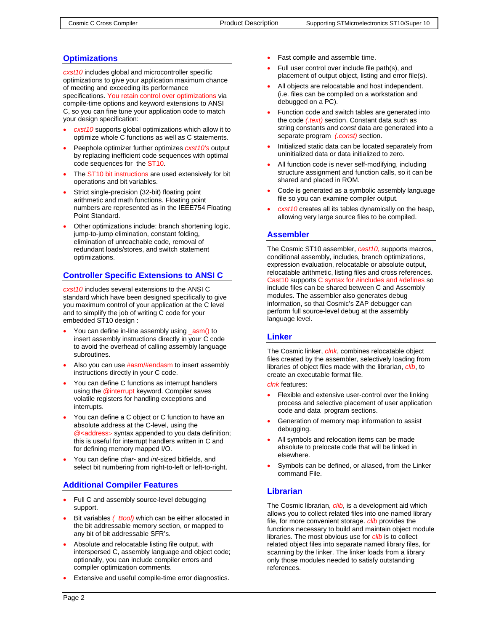# **Optimizations**

*cxst10* includes global and microcontroller specific optimizations to give your application maximum chance of meeting and exceeding its performance specifications. You retain control over optimizations via compile-time options and keyword extensions to ANSI C, so you can fine tune your application code to match your design specification:

- *cxst10* supports global optimizations which allow it to optimize whole C functions as well as C statements.
- Peephole optimizer further optimizes *cxst10's* output by replacing inefficient code sequences with optimal code sequences for the ST10.
- The ST10 bit instructions are used extensively for bit operations and bit variables.
- Strict single-precision (32-bit) floating point arithmetic and math functions. Floating point numbers are represented as in the IEEE754 Floating Point Standard.
- Other optimizations include: branch shortening logic, jump-to-jump elimination, constant folding, elimination of unreachable code, removal of redundant loads/stores, and switch statement optimizations.

# **Controller Specific Extensions to ANSI C**

*cxst10* includes several extensions to the ANSI C standard which have been designed specifically to give you maximum control of your application at the C level and to simplify the job of writing C code for your embedded ST10 design :

- You can define in-line assembly using \_asm() to insert assembly instructions directly in your C code to avoid the overhead of calling assembly language subroutines.
- Also you can use  $\#asm/\#endsm$  to insert assembly instructions directly in your C code.
- You can define C functions as interrupt handlers using the @interrupt keyword. Compiler saves volatile registers for handling exceptions and interrupts.
- You can define a C object or C function to have an absolute address at the C-level, using the @<address> syntax appended to you data definition; this is useful for interrupt handlers written in C and for defining memory mapped I/O.
- You can define *char-* and *int*-sized bitfields, and select bit numbering from right-to-left or left-to-right.

# **Additional Compiler Features**

- Full C and assembly source-level debugging support.
- Bit variables *(\_Bool)* which can be either allocated in the bit addressable memory section, or mapped to any bit of bit addressable SFR's.
- Absolute and relocatable listing file output, with interspersed C, assembly language and object code; optionally, you can include compiler errors and compiler optimization comments.
- Extensive and useful compile-time error diagnostics.
- Fast compile and assemble time.
- Full user control over include file path(s), and placement of output object, listing and error file(s).
- All objects are relocatable and host independent. (i.e. files can be compiled on a workstation and debugged on a PC).
- Function code and switch tables are generated into the code *(.text)* section. Constant data such as string constants and *const* data are generated into a separate program *(.const)* section.
- Initialized static data can be located separately from uninitialized data or data initialized to zero.
- All function code is never self-modifying, including structure assignment and function calls, so it can be shared and placed in ROM.
- Code is generated as a symbolic assembly language file so you can examine compiler output.
- *cxst10* creates all its tables dynamically on the heap, allowing very large source files to be compiled.

# **Assembler**

The Cosmic ST10 assembler, *cast10*, supports macros, conditional assembly, includes, branch optimizations, expression evaluation, relocatable or absolute output, relocatable arithmetic, listing files and cross references. Cast10 supports C syntax for #includes and #defines so include files can be shared between C and Assembly modules. The assembler also generates debug information, so that Cosmic's ZAP debugger can perform full source-level debug at the assembly language level.

# **Linker**

The Cosmic linker, *clnk*, combines relocatable object files created by the assembler, selectively loading from libraries of object files made with the librarian, *clib*, to create an executable format file.

*clnk* features:

- Flexible and extensive user-control over the linking process and selective placement of user application code and data program sections.
- Generation of memory map information to assist debugging.
- All symbols and relocation items can be made absolute to prelocate code that will be linked in elsewhere.
- Symbols can be defined, or aliased**,** from the Linker command File.

# **Librarian**

The Cosmic librarian, *clib*, is a development aid which allows you to collect related files into one named library file, for more convenient storage. *clib* provides the functions necessary to build and maintain object module libraries. The most obvious use for *clib* is to collect related object files into separate named library files, for scanning by the linker. The linker loads from a library only those modules needed to satisfy outstanding references.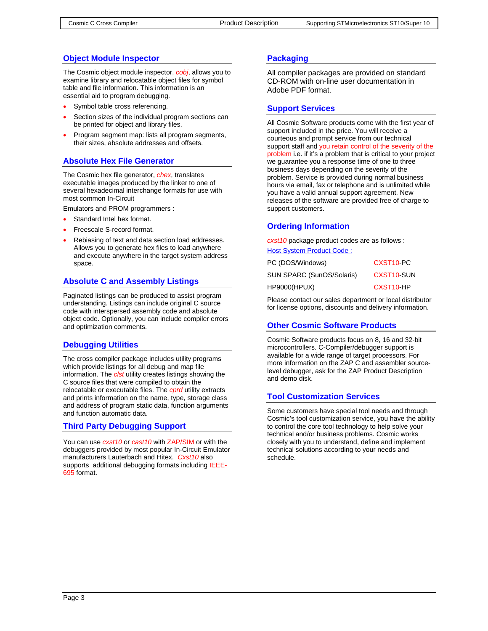# **Object Module Inspector**

The Cosmic object module inspector, *cobj*, allows you to examine library and relocatable object files for symbol table and file information. This information is an essential aid to program debugging.

- Symbol table cross referencing.
- Section sizes of the individual program sections can be printed for object and library files.
- Program segment map: lists all program segments, their sizes, absolute addresses and offsets.

#### **Absolute Hex File Generator**

The Cosmic hex file generator, *chex*, translates executable images produced by the linker to one of several hexadecimal interchange formats for use with most common In-Circuit

Emulators and PROM programmers :

- Standard Intel hex format.
- Freescale S-record format.
- Rebiasing of text and data section load addresses. Allows you to generate hex files to load anywhere and execute anywhere in the target system address space.

#### **Absolute C and Assembly Listings**

Paginated listings can be produced to assist program understanding. Listings can include original C source code with interspersed assembly code and absolute object code. Optionally, you can include compiler errors and optimization comments.

#### **Debugging Utilities**

The cross compiler package includes utility programs which provide listings for all debug and map file information. The *clst* utility creates listings showing the C source files that were compiled to obtain the relocatable or executable files. The *cprd* utility extracts and prints information on the name, type, storage class and address of program static data, function arguments and function automatic data.

#### **Third Party Debugging Support**

You can use *cxst10* or *cast10* with ZAP/SIM or with the debuggers provided by most popular In-Circuit Emulator manufacturers Lauterbach and Hitex. *Cxst10* also supports additional debugging formats including IEEE-695 format.

# **Packaging**

All compiler packages are provided on standard CD-ROM with on-line user documentation in Adobe PDF format.

#### **Support Services**

All Cosmic Software products come with the first year of support included in the price. You will receive a courteous and prompt service from our technical support staff and you retain control of the severity of the problem i.e. if it's a problem that is critical to your project we guarantee you a response time of one to three business days depending on the severity of the problem. Service is provided during normal business hours via email, fax or telephone and is unlimited while you have a valid annual support agreement. New releases of the software are provided free of charge to support customers.

# **Ordering Information**

*cxst10* package product codes are as follows : Host System Product Code :

| PC (DOS/Windows)          | CXST <sub>10-PC</sub>   |
|---------------------------|-------------------------|
| SUN SPARC (SunOS/Solaris) | CXST <sub>10</sub> -SUN |
| HP9000(HPUX)              | CXST <sub>10</sub> -HP  |

Please contact our sales department or local distributor for license options, discounts and delivery information.

#### **Other Cosmic Software Products**

Cosmic Software products focus on 8, 16 and 32-bit microcontrollers. C-Compiler/debugger support is available for a wide range of target processors. For more information on the ZAP C and assembler sourcelevel debugger, ask for the ZAP Product Description and demo disk.

# **Tool Customization Services**

Some customers have special tool needs and through Cosmic's tool customization service, you have the ability to control the core tool technology to help solve your technical and/or business problems. Cosmic works closely with you to understand, define and implement technical solutions according to your needs and schedule.